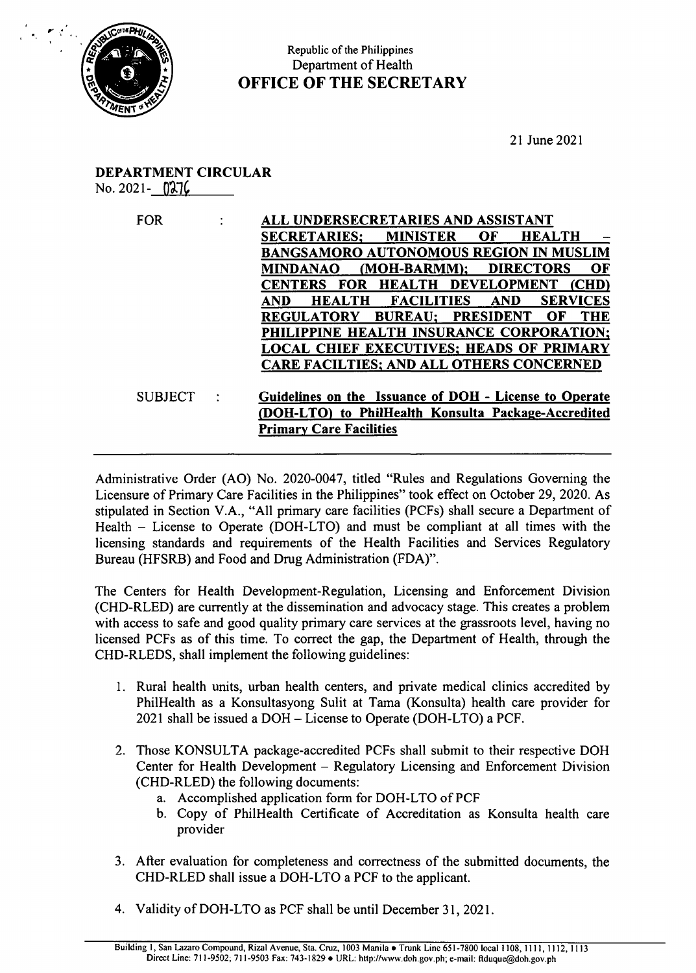

## Republic of the Philippines Department of Health OFFICE OF THE SECRETARY

21 June 2021

## DEPARTMENT CIRCULAR  $No. 2021 - 0276$

| <b>FOR</b>     | ALL UNDERSECRETARIES AND ASSISTANT<br><b>SECRETARIES:</b><br><b>MINISTER</b><br>OF<br><b>HEALTH</b><br>BANGSAMORO AUTONOMOUS REGION IN MUSLIM<br><b>DIRECTORS</b><br><b>MINDANAO</b><br>(MOH-BARMM);<br>OF<br>CENTERS FOR HEALTH DEVELOPMENT (CHD)<br>AND<br><b>HEALTH</b><br><b>FACILITIES</b><br><b>AND</b><br><b>SERVICES</b><br>REGULATORY BUREAU; PRESIDENT<br>OF<br>THE<br>PHILIPPINE HEALTH INSURANCE CORPORATION;<br>LOCAL CHIEF EXECUTIVES; HEADS OF PRIMARY                                                                                                                                               |
|----------------|---------------------------------------------------------------------------------------------------------------------------------------------------------------------------------------------------------------------------------------------------------------------------------------------------------------------------------------------------------------------------------------------------------------------------------------------------------------------------------------------------------------------------------------------------------------------------------------------------------------------|
|                | <b>CARE FACILTIES; AND ALL OTHERS CONCERNED</b>                                                                                                                                                                                                                                                                                                                                                                                                                                                                                                                                                                     |
| <b>SUBJECT</b> | Guidelines on the Issuance of DOH - License to Operate<br>(DOH-LTO) to PhilHealth Konsulta Package-Accredited<br><b>Primary Care Facilities</b>                                                                                                                                                                                                                                                                                                                                                                                                                                                                     |
|                | Administrative Order (AO) No. 2020-0047, titled "Rules and Regulations Governing the<br>Licensure of Primary Care Facilities in the Philippines" took effect on October 29, 2020. As<br>stipulated in Section V.A., "All primary care facilities (PCFs) shall secure a Department of                                                                                                                                                                                                                                                                                                                                |
|                | Health – License to Operate (DOH-LTO) and must be compliant at all times with the<br>licensing standards and requirements of the Health Facilities and Services Regulatory<br>Bureau (HFSRB) and Food and Drug Administration (FDA)".<br>The Centers for Health Development-Regulation, Licensing and Enforcement Division<br>(CHD-RLED) are currently at the dissemination and advocacy stage. This creates a problem<br>with access to safe and good quality primary care services at the grassroots level, having no<br>licensed PCFs as of this time. To correct the gap, the Department of Health, through the |
|                | CHD-RLEDS, shall implement the following guidelines:                                                                                                                                                                                                                                                                                                                                                                                                                                                                                                                                                                |
|                | 1. Rural health units, urban health centers, and private medical clinics accredited by<br>PhilHealth as a Konsultasyong Sulit at Tama (Konsulta) health care provider for<br>2021 shall be issued a DOH – License to Operate (DOH-LTO) a PCF.                                                                                                                                                                                                                                                                                                                                                                       |

- 1. Rural health units, urban health centers, and private medical clinics accredited by PhilHealth as a Konsultasyong Sulit at Tama (Konsulta) health care provider for 2021 shall be issued a DOH — License to Operate (DOH-LTO) a PCF.
- 2. Those KONSULTA package-accredited PCFs shall submit to their respective DOH Center for Health Development — Regulatory Licensing and Enforcement Division (CHD-RLED) the following documents:
	- a. Accomplished application form for DOH-LTO of PCF
	- b. Copy of PhilHealth Certificate of Accreditation as Konsulta health care provider
- 3. After evaluation for completeness and correctness of the submitted documents, the CHD-RLED shall issue a DOH-LTO a PCF to the applicant.
- 4. Validity of DOH-LTO as PCF shall be until December 31, 2021.